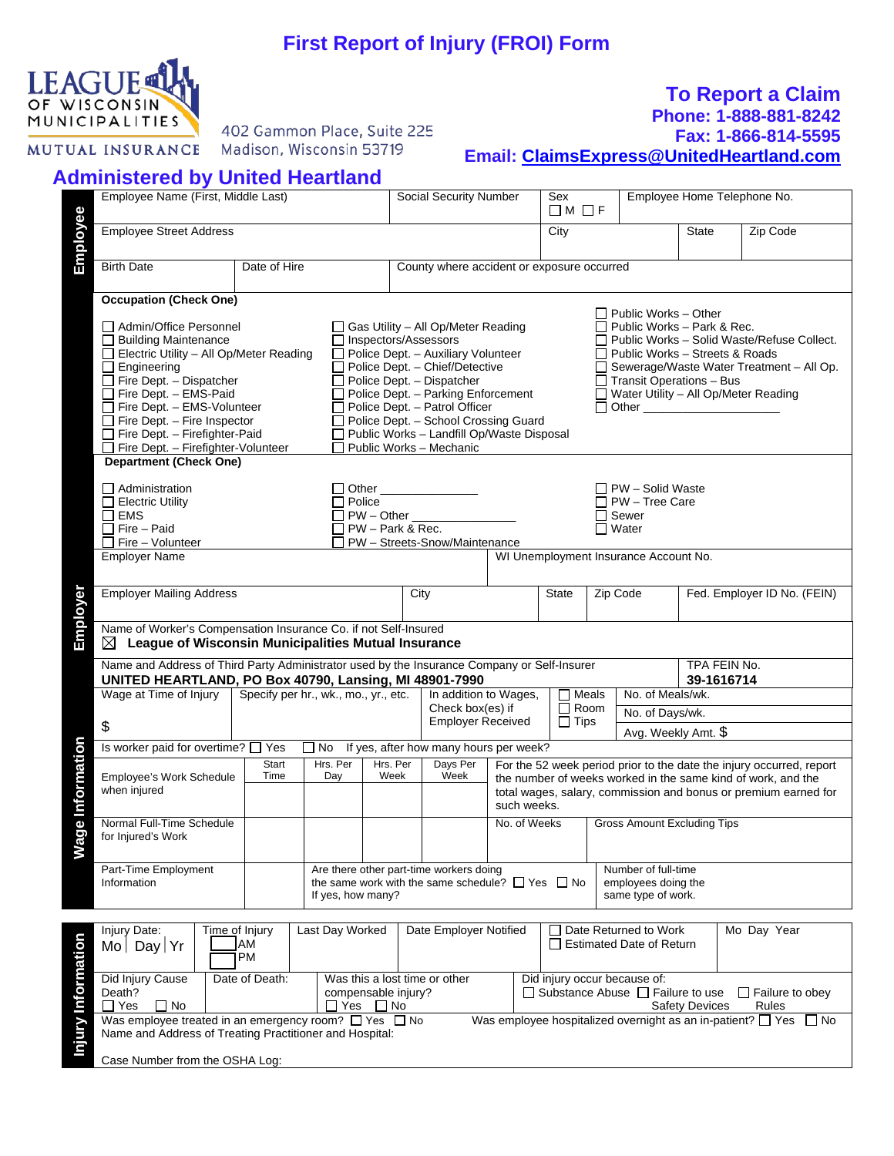# **First Report of Injury (FROI) Form**



402 Gammon Place, Suite 225 Madison, Wisconsin 53719

### **To Report a Claim Phone: 1-888-881-8242**

## **Fax: 1-866-814-5595**

**Email: [ClaimsExpress@UnitedHeartland.com](mailto:ClaimsExpress@UnitedHeartland.com)**

## **Administered by United Heartland**

|                    | Employee Name (First, Middle Last)                                                                                                                                                                                                                                                                                                                            |                |                                      |                         | Social Security Number                                                                                                                                                                                                                                                                                                                                          |                        | Sex<br>$\Box M \Box F$       |                                                          | Employee Home Telephone No.                                                                                                                                                            |                            |  |                                                                                                                                         |
|--------------------|---------------------------------------------------------------------------------------------------------------------------------------------------------------------------------------------------------------------------------------------------------------------------------------------------------------------------------------------------------------|----------------|--------------------------------------|-------------------------|-----------------------------------------------------------------------------------------------------------------------------------------------------------------------------------------------------------------------------------------------------------------------------------------------------------------------------------------------------------------|------------------------|------------------------------|----------------------------------------------------------|----------------------------------------------------------------------------------------------------------------------------------------------------------------------------------------|----------------------------|--|-----------------------------------------------------------------------------------------------------------------------------------------|
|                    |                                                                                                                                                                                                                                                                                                                                                               |                |                                      |                         |                                                                                                                                                                                                                                                                                                                                                                 |                        |                              |                                                          |                                                                                                                                                                                        |                            |  |                                                                                                                                         |
| Employee           | <b>Employee Street Address</b>                                                                                                                                                                                                                                                                                                                                |                |                                      |                         |                                                                                                                                                                                                                                                                                                                                                                 |                        | City                         |                                                          |                                                                                                                                                                                        | <b>State</b>               |  | Zip Code                                                                                                                                |
|                    | <b>Birth Date</b>                                                                                                                                                                                                                                                                                                                                             | Date of Hire   |                                      |                         | County where accident or exposure occurred                                                                                                                                                                                                                                                                                                                      |                        |                              |                                                          |                                                                                                                                                                                        |                            |  |                                                                                                                                         |
|                    | <b>Occupation (Check One)</b>                                                                                                                                                                                                                                                                                                                                 |                |                                      |                         |                                                                                                                                                                                                                                                                                                                                                                 |                        |                              |                                                          |                                                                                                                                                                                        |                            |  |                                                                                                                                         |
|                    | □ Admin/Office Personnel<br>$\Box$<br><b>Building Maintenance</b><br>Electric Utility - All Op/Meter Reading<br>$\Box$ Engineering<br>$\Box$ Fire Dept. - Dispatcher<br>$\Box$ Fire Dept. - EMS-Paid<br>$\Box$ Fire Dept. - EMS-Volunteer<br>$\Box$ Fire Dept. - Fire Inspector<br>$\Box$ Fire Dept. - Firefighter-Paid<br>Fire Dept. - Firefighter-Volunteer |                |                                      |                         | $\Box$ Gas Utility – All Op/Meter Reading<br>□ Inspectors/Assessors<br>Police Dept. - Auxiliary Volunteer<br>Police Dept. - Chief/Detective<br>Police Dept. - Dispatcher<br>Police Dept. - Parking Enforcement<br>Police Dept. - Patrol Officer<br>Police Dept. - School Crossing Guard<br>Public Works - Landfill Op/Waste Disposal<br>Public Works - Mechanic |                        |                              |                                                          | $\Box$ Public Works - Other<br>$\Box$ Public Works – Park & Rec.<br>$\Box$ Public Works - Streets & Roads<br>$\Box$ Transit Operations - Bus<br>□ Water Utility - All Op/Meter Reading |                            |  | $\Box$ Public Works - Solid Waste/Refuse Collect.<br>Sewerage/Waste Water Treatment - All Op.                                           |
|                    | <b>Department (Check One)</b>                                                                                                                                                                                                                                                                                                                                 |                |                                      |                         |                                                                                                                                                                                                                                                                                                                                                                 |                        |                              |                                                          |                                                                                                                                                                                        |                            |  |                                                                                                                                         |
|                    | $\Box$ Administration<br>$\Box$ Electric Utility<br>$\square$ EMS<br>$\Box$ Fire - Paid<br>$\Box$ Fire - Volunteer                                                                                                                                                                                                                                            |                | $\Box$ Police                        | $\Box$ PW – Park & Rec. | Other ________________<br>□ PW - Other __________<br>PW - Streets-Snow/Maintenance                                                                                                                                                                                                                                                                              |                        |                              | $\Box$ Water                                             | $\Box$ PW – Solid Waste<br>$\Box$ PW - Tree Care<br>$\Box$ Sewer                                                                                                                       |                            |  |                                                                                                                                         |
|                    | <b>Employer Name</b>                                                                                                                                                                                                                                                                                                                                          |                |                                      |                         |                                                                                                                                                                                                                                                                                                                                                                 |                        |                              |                                                          | WI Unemployment Insurance Account No.                                                                                                                                                  |                            |  |                                                                                                                                         |
| Employer           | <b>Employer Mailing Address</b>                                                                                                                                                                                                                                                                                                                               |                |                                      |                         | City                                                                                                                                                                                                                                                                                                                                                            |                        | <b>State</b>                 | Zip Code                                                 |                                                                                                                                                                                        |                            |  | Fed. Employer ID No. (FEIN)                                                                                                             |
|                    | Name of Worker's Compensation Insurance Co. if not Self-Insured<br>$\boxtimes$ League of Wisconsin Municipalities Mutual Insurance                                                                                                                                                                                                                            |                |                                      |                         |                                                                                                                                                                                                                                                                                                                                                                 |                        |                              |                                                          |                                                                                                                                                                                        |                            |  |                                                                                                                                         |
|                    | Name and Address of Third Party Administrator used by the Insurance Company or Self-Insurer<br>UNITED HEARTLAND, PO Box 40790, Lansing, MI 48901-7990                                                                                                                                                                                                         |                |                                      |                         |                                                                                                                                                                                                                                                                                                                                                                 |                        |                              |                                                          |                                                                                                                                                                                        | TPA FEIN No.<br>39-1616714 |  |                                                                                                                                         |
|                    | Wage at Time of Injury                                                                                                                                                                                                                                                                                                                                        |                | Specify per hr., wk., mo., yr., etc. |                         | In addition to Wages,                                                                                                                                                                                                                                                                                                                                           |                        | $\Box$ Meals                 |                                                          | No. of Meals/wk.                                                                                                                                                                       |                            |  |                                                                                                                                         |
|                    |                                                                                                                                                                                                                                                                                                                                                               |                |                                      |                         | Check box(es) if<br><b>Employer Received</b>                                                                                                                                                                                                                                                                                                                    |                        | $\Box$ Room<br>$\Box$ Tips   |                                                          | No. of Days/wk.                                                                                                                                                                        |                            |  |                                                                                                                                         |
|                    | $\boldsymbol{\mathsf{\$}}$                                                                                                                                                                                                                                                                                                                                    |                |                                      |                         |                                                                                                                                                                                                                                                                                                                                                                 |                        |                              |                                                          | Avg. Weekly Amt. \$                                                                                                                                                                    |                            |  |                                                                                                                                         |
|                    | Is worker paid for overtime? [ Yes                                                                                                                                                                                                                                                                                                                            |                |                                      |                         | □ No If yes, after how many hours per week?                                                                                                                                                                                                                                                                                                                     |                        |                              |                                                          |                                                                                                                                                                                        |                            |  |                                                                                                                                         |
| age Information    | Employee's Work Schedule<br>when injured                                                                                                                                                                                                                                                                                                                      | Start<br>Time  | Hrs. Per<br>Day                      | Hrs. Per<br>Week        | Days Per<br>Week                                                                                                                                                                                                                                                                                                                                                | such weeks.            |                              |                                                          | the number of weeks worked in the same kind of work, and the                                                                                                                           |                            |  | For the 52 week period prior to the date the injury occurred, report<br>total wages, salary, commission and bonus or premium earned for |
| ₿                  | Normal Full-Time Schedule<br>for Injured's Work                                                                                                                                                                                                                                                                                                               |                |                                      |                         |                                                                                                                                                                                                                                                                                                                                                                 | No. of Weeks           |                              |                                                          | <b>Gross Amount Excluding Tips</b>                                                                                                                                                     |                            |  |                                                                                                                                         |
|                    | Part-Time Employment<br>Information                                                                                                                                                                                                                                                                                                                           |                | If yes, how many?                    |                         | Are there other part-time workers doing<br>the same work with the same schedule? $\Box$ Yes $\Box$ No                                                                                                                                                                                                                                                           |                        |                              |                                                          | Number of full-time<br>employees doing the<br>same type of work.                                                                                                                       |                            |  |                                                                                                                                         |
|                    |                                                                                                                                                                                                                                                                                                                                                               |                |                                      |                         |                                                                                                                                                                                                                                                                                                                                                                 |                        |                              |                                                          |                                                                                                                                                                                        |                            |  |                                                                                                                                         |
|                    | Time of Injury<br>Injury Date:<br><b>AM</b><br>$Mo$ Day Yr<br>PM                                                                                                                                                                                                                                                                                              |                |                                      | Last Day Worked         |                                                                                                                                                                                                                                                                                                                                                                 | Date Employer Notified |                              | Date Returned to Work<br>$\Box$ Estimated Date of Return |                                                                                                                                                                                        | Mo Day Year                |  |                                                                                                                                         |
| Injury Information | Did Injury Cause<br>Death?<br>$\Box$ No<br>$\Box$ Yes                                                                                                                                                                                                                                                                                                         | Date of Death: | compensable injury?<br>$\Box$ Yes    | $\Box$ No               | Was this a lost time or other                                                                                                                                                                                                                                                                                                                                   |                        | Did injury occur because of: |                                                          | $\Box$ Substance Abuse $\Box$ Failure to use                                                                                                                                           | <b>Safety Devices</b>      |  | $\Box$ Failure to obey<br>Rules                                                                                                         |
|                    | Was employee treated in an emergency room? $\Box$ Yes $\Box$ No<br>Name and Address of Treating Practitioner and Hospital:<br>Case Number from the OSHA Log:                                                                                                                                                                                                  |                |                                      |                         |                                                                                                                                                                                                                                                                                                                                                                 |                        |                              |                                                          |                                                                                                                                                                                        |                            |  | Was employee hospitalized overnight as an in-patient? $\Box$ Yes $\Box$ No                                                              |